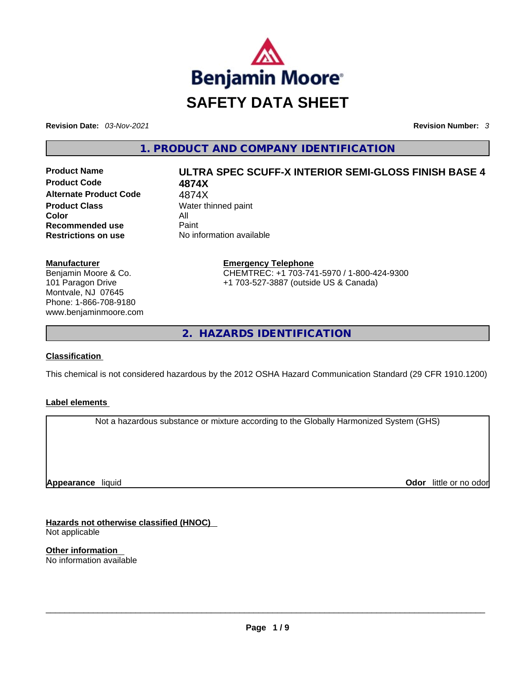

**Revision Date:** *03-Nov-2021* **Revision Number:** *3*

**1. PRODUCT AND COMPANY IDENTIFICATION** 

**Product Code 4874X Alternate Product Code** 4874X **Product Class Water thinned paint Color** All **Recommended use Paint Restrictions on use** No information available

# **Manufacturer** Benjamin Moore & Co. 101 Paragon Drive Montvale, NJ 07645 Phone: 1-866-708-9180

www.benjaminmoore.com

# **Product Name ULTRA SPEC SCUFF-X INTERIOR SEMI-GLOSS FINISH BASE 4**

**Emergency Telephone** CHEMTREC: +1 703-741-5970 / 1-800-424-9300 +1 703-527-3887 (outside US & Canada)

**2. HAZARDS IDENTIFICATION** 

# **Classification**

This chemical is not considered hazardous by the 2012 OSHA Hazard Communication Standard (29 CFR 1910.1200)

# **Label elements**

Not a hazardous substance or mixture according to the Globally Harmonized System (GHS)

**Appearance** liquid

**Odor** little or no odor

**Hazards not otherwise classified (HNOC)**  Not applicable

**Other information**  No information available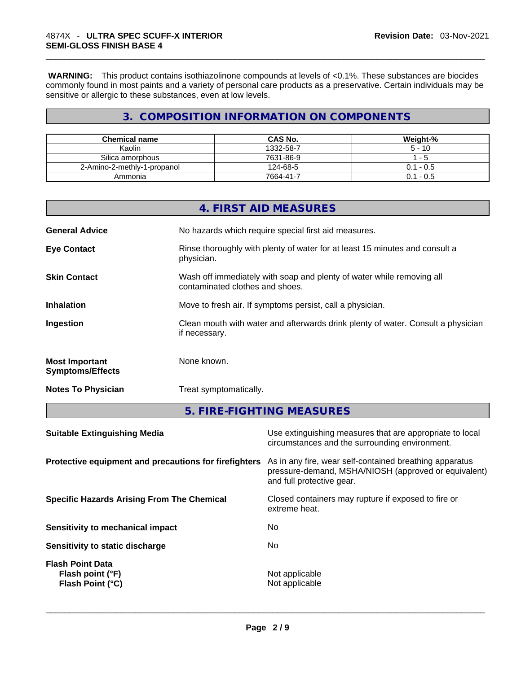**WARNING:** This product contains isothiazolinone compounds at levels of <0.1%. These substances are biocides commonly found in most paints and a variety of personal care products as a preservative. Certain individuals may be sensitive or allergic to these substances, even at low levels.

# **3. COMPOSITION INFORMATION ON COMPONENTS**

| <b>Chemical name</b>        | <b>CAS No.</b> | Weight-%    |
|-----------------------------|----------------|-------------|
| Kaolin                      | 1332-58-7      | $5 - 10$    |
| Silica amorphous            | 7631-86-9      | - 5         |
| 2-Amino-2-methly-1-propanol | 124-68-5       | $0.1 - 0.5$ |
| Ammonia                     | 7664-41-7      | $0.1 - 0.5$ |

|                                                  | 4. FIRST AID MEASURES                                                                                    |
|--------------------------------------------------|----------------------------------------------------------------------------------------------------------|
| <b>General Advice</b>                            | No hazards which require special first aid measures.                                                     |
| <b>Eye Contact</b>                               | Rinse thoroughly with plenty of water for at least 15 minutes and consult a<br>physician.                |
| <b>Skin Contact</b>                              | Wash off immediately with soap and plenty of water while removing all<br>contaminated clothes and shoes. |
| <b>Inhalation</b>                                | Move to fresh air. If symptoms persist, call a physician.                                                |
| Ingestion                                        | Clean mouth with water and afterwards drink plenty of water. Consult a physician<br>if necessary.        |
| <b>Most Important</b><br><b>Symptoms/Effects</b> | None known.                                                                                              |
| <b>Notes To Physician</b>                        | Treat symptomatically.                                                                                   |

**5. FIRE-FIGHTING MEASURES** 

| <b>Suitable Extinguishing Media</b><br>circumstances and the surrounding environment.                                                                                                                 | Use extinguishing measures that are appropriate to local |
|-------------------------------------------------------------------------------------------------------------------------------------------------------------------------------------------------------|----------------------------------------------------------|
| Protective equipment and precautions for firefighters<br>As in any fire, wear self-contained breathing apparatus<br>pressure-demand, MSHA/NIOSH (approved or equivalent)<br>and full protective gear. |                                                          |
| Closed containers may rupture if exposed to fire or<br><b>Specific Hazards Arising From The Chemical</b><br>extreme heat.                                                                             |                                                          |
| No.<br>Sensitivity to mechanical impact                                                                                                                                                               |                                                          |
| No.<br>Sensitivity to static discharge                                                                                                                                                                |                                                          |
| <b>Flash Point Data</b><br>Not applicable<br>Flash point (°F)<br>Not applicable<br>Flash Point (°C)                                                                                                   |                                                          |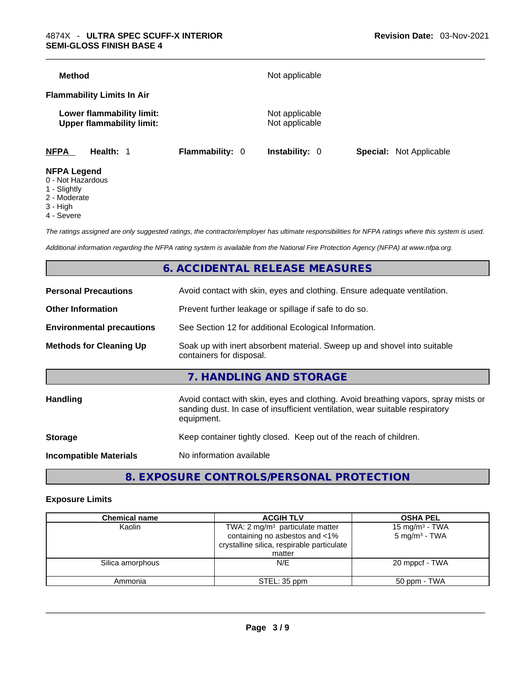| Method             |                                                               |                 | Not applicable                   |                                |
|--------------------|---------------------------------------------------------------|-----------------|----------------------------------|--------------------------------|
|                    | <b>Flammability Limits In Air</b>                             |                 |                                  |                                |
|                    | Lower flammability limit:<br><b>Upper flammability limit:</b> |                 | Not applicable<br>Not applicable |                                |
| <b>NFPA</b>        | Health: 1                                                     | Flammability: 0 | <b>Instability: 0</b>            | <b>Special:</b> Not Applicable |
| <b>NFPA Legend</b> |                                                               |                 |                                  |                                |

#### 0 - Not Hazardous

- 1 Slightly
- 2 Moderate
- 3 High
- 4 Severe
- 

*The ratings assigned are only suggested ratings, the contractor/employer has ultimate responsibilities for NFPA ratings where this system is used.* 

*Additional information regarding the NFPA rating system is available from the National Fire Protection Agency (NFPA) at www.nfpa.org.* 

# **6. ACCIDENTAL RELEASE MEASURES**

| <b>Personal Precautions</b>      | Avoid contact with skin, eyes and clothing. Ensure adequate ventilation.                                                                                                         |  |  |
|----------------------------------|----------------------------------------------------------------------------------------------------------------------------------------------------------------------------------|--|--|
| <b>Other Information</b>         | Prevent further leakage or spillage if safe to do so.                                                                                                                            |  |  |
| <b>Environmental precautions</b> | See Section 12 for additional Ecological Information.                                                                                                                            |  |  |
| <b>Methods for Cleaning Up</b>   | Soak up with inert absorbent material. Sweep up and shovel into suitable<br>containers for disposal.                                                                             |  |  |
|                                  | 7. HANDLING AND STORAGE                                                                                                                                                          |  |  |
|                                  |                                                                                                                                                                                  |  |  |
| Handling                         | Avoid contact with skin, eyes and clothing. Avoid breathing vapors, spray mists or<br>sanding dust. In case of insufficient ventilation, wear suitable respiratory<br>equipment. |  |  |
| <b>Storage</b>                   | Keep container tightly closed. Keep out of the reach of children.                                                                                                                |  |  |

# **8. EXPOSURE CONTROLS/PERSONAL PROTECTION**

#### **Exposure Limits**

| <b>Chemical name</b> | <b>ACGIH TLV</b>                                                                                                                     | <b>OSHA PEL</b>                               |  |
|----------------------|--------------------------------------------------------------------------------------------------------------------------------------|-----------------------------------------------|--|
| Kaolin               | TWA: $2 \text{ mg/m}^3$ particulate matter<br>containing no asbestos and <1%<br>crystalline silica, respirable particulate<br>matter | 15 mg/m $3$ - TWA<br>$5 \text{ mg/m}^3$ - TWA |  |
| Silica amorphous     | N/E                                                                                                                                  | 20 mppcf - TWA                                |  |
| Ammonia              | STEL: 35 ppm                                                                                                                         | 50 ppm - TWA                                  |  |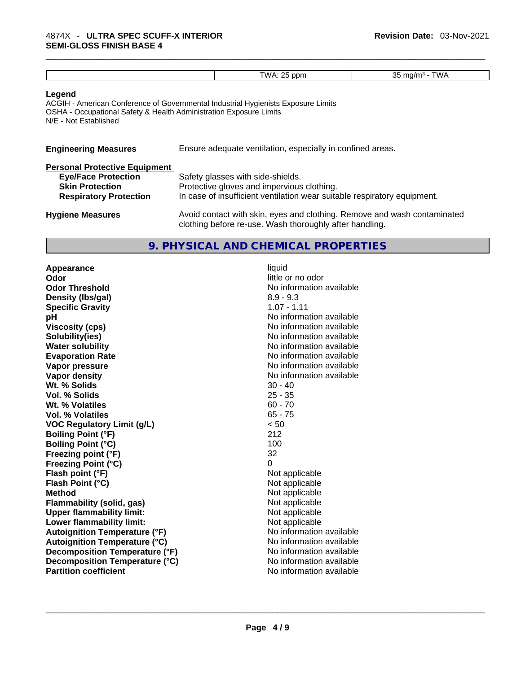| -<br>ה ו-<br>nnn<br>$\cdots$<br>. |  |  |
|-----------------------------------|--|--|
|                                   |  |  |
|                                   |  |  |

#### **Legend**

ACGIH - American Conference of Governmental Industrial Hygienists Exposure Limits OSHA - Occupational Safety & Health Administration Exposure Limits N/E - Not Established

| <b>Engineering Measures</b>          | Ensure adequate ventilation, especially in confined areas.                                                                          |
|--------------------------------------|-------------------------------------------------------------------------------------------------------------------------------------|
| <b>Personal Protective Equipment</b> |                                                                                                                                     |
| <b>Eye/Face Protection</b>           | Safety glasses with side-shields.                                                                                                   |
| <b>Skin Protection</b>               | Protective gloves and impervious clothing.                                                                                          |
| <b>Respiratory Protection</b>        | In case of insufficient ventilation wear suitable respiratory equipment.                                                            |
| <b>Hygiene Measures</b>              | Avoid contact with skin, eyes and clothing. Remove and wash contaminated<br>clothing before re-use. Wash thoroughly after handling. |

#### **9. PHYSICAL AND CHEMICAL PROPERTIES**

**Appearance** liquid **Odor** little or no odor **Odor Threshold** No information available **Density (Ibs/gal)** 8.9 - 9.3<br> **Specific Gravity** 8.9 - 1.11 **Specific Gravity pH bH 1 Viscosity (cps) Viscosity (cps) No information available Solubility(ies)** No information available **Water solubility Water solubility No information available Evaporation Rate No information available No information available Vapor pressure**  No information available **Vapor pressure No information available Vapor density**<br> **We Solids**<br>
We Solids
20 - 40 **Wt. % Solids** 30 - 40 **Vol. % Solids Wt. % Volatiles** 60 - 70 **Vol. % Volatiles** 65 - 75 **VOC Regulatory Limit (g/L)** < 50 **Boiling Point (°F) Boiling Point (°C)** 100<br> **Preezing point (°F)** 22 **Freezing point (°F) Freezing Point (°C)** 0 **Flash point (°F)**<br> **Flash Point (°C)**<br> **Flash Point (°C)**<br> **Clash Point (°C) Flash Point (°C) Method** Not applicable **Flammability (solid, gas)** Not applicable<br>
Upper flammability limit:<br>
Not applicable<br>
Not applicable **Upper flammability limit: Lower flammability limit:** Not applicable **Autoignition Temperature (°F)**<br> **Autoignition Temperature (°C)** No information available **Autoignition Temperature (°C)**<br> **Decomposition Temperature (°F)** No information available **Decomposition Temperature (°F) Decomposition Temperature (°C)**<br> **Partition coefficient Partition coefficient Partition coefficient Partition coefficient Partition coefficient Partition coefficient Partition coefficient Partition coefficie Partition coefficient**No information available \_\_\_\_\_\_\_\_\_\_\_\_\_\_\_\_\_\_\_\_\_\_\_\_\_\_\_\_\_\_\_\_\_\_\_\_\_\_\_\_\_\_\_\_\_\_\_\_\_\_\_\_\_\_\_\_\_\_\_\_\_\_\_\_\_\_\_\_\_\_\_\_\_\_\_\_\_\_\_\_\_\_\_\_\_\_\_\_\_\_\_\_\_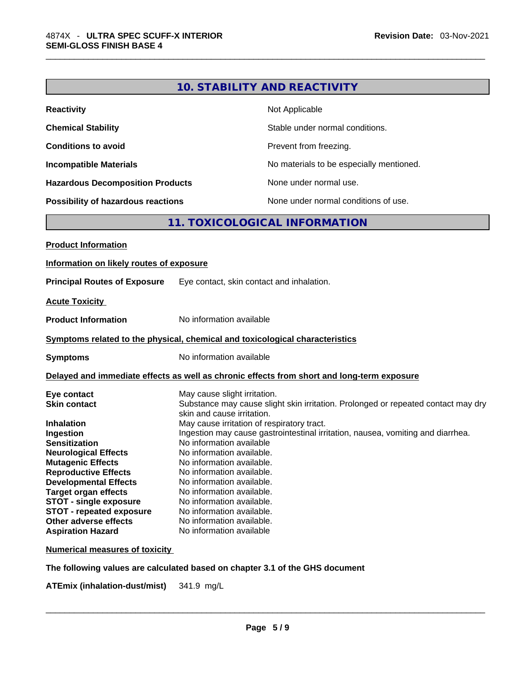| <b>Reactivity</b>                       | Not Applicable                           |
|-----------------------------------------|------------------------------------------|
| <b>Chemical Stability</b>               | Stable under normal conditions.          |
| <b>Conditions to avoid</b>              | Prevent from freezing.                   |
| <b>Incompatible Materials</b>           | No materials to be especially mentioned. |
| <b>Hazardous Decomposition Products</b> | None under normal use.                   |
| Possibility of hazardous reactions      | None under normal conditions of use.     |

# **11. TOXICOLOGICAL INFORMATION**

| Information on likely routes of exposure                                                                                                                                                                                                                                                                                                                                                                                                                                                                                                                                                                                                                                                                                                                                                                                                                                                                                                                    |
|-------------------------------------------------------------------------------------------------------------------------------------------------------------------------------------------------------------------------------------------------------------------------------------------------------------------------------------------------------------------------------------------------------------------------------------------------------------------------------------------------------------------------------------------------------------------------------------------------------------------------------------------------------------------------------------------------------------------------------------------------------------------------------------------------------------------------------------------------------------------------------------------------------------------------------------------------------------|
|                                                                                                                                                                                                                                                                                                                                                                                                                                                                                                                                                                                                                                                                                                                                                                                                                                                                                                                                                             |
| <b>Principal Routes of Exposure</b><br>Eye contact, skin contact and inhalation.                                                                                                                                                                                                                                                                                                                                                                                                                                                                                                                                                                                                                                                                                                                                                                                                                                                                            |
| <b>Acute Toxicity</b>                                                                                                                                                                                                                                                                                                                                                                                                                                                                                                                                                                                                                                                                                                                                                                                                                                                                                                                                       |
| <b>Product Information</b><br>No information available                                                                                                                                                                                                                                                                                                                                                                                                                                                                                                                                                                                                                                                                                                                                                                                                                                                                                                      |
| Symptoms related to the physical, chemical and toxicological characteristics                                                                                                                                                                                                                                                                                                                                                                                                                                                                                                                                                                                                                                                                                                                                                                                                                                                                                |
| No information available<br><b>Symptoms</b>                                                                                                                                                                                                                                                                                                                                                                                                                                                                                                                                                                                                                                                                                                                                                                                                                                                                                                                 |
| Delayed and immediate effects as well as chronic effects from short and long-term exposure                                                                                                                                                                                                                                                                                                                                                                                                                                                                                                                                                                                                                                                                                                                                                                                                                                                                  |
| May cause slight irritation.<br>Eye contact<br><b>Skin contact</b><br>Substance may cause slight skin irritation. Prolonged or repeated contact may dry<br>skin and cause irritation.<br>May cause irritation of respiratory tract.<br><b>Inhalation</b><br>Ingestion may cause gastrointestinal irritation, nausea, vomiting and diarrhea.<br>Ingestion<br>No information available<br><b>Sensitization</b><br>No information available.<br><b>Neurological Effects</b><br>No information available.<br><b>Mutagenic Effects</b><br><b>Reproductive Effects</b><br>No information available.<br><b>Developmental Effects</b><br>No information available.<br><b>Target organ effects</b><br>No information available.<br>No information available.<br>STOT - single exposure<br><b>STOT - repeated exposure</b><br>No information available.<br>Other adverse effects<br>No information available.<br>No information available<br><b>Aspiration Hazard</b> |

**Numerical measures of toxicity**

**The following values are calculated based on chapter 3.1 of the GHS document**

**ATEmix** (inhalation-dust/mist) 341.9 mg/L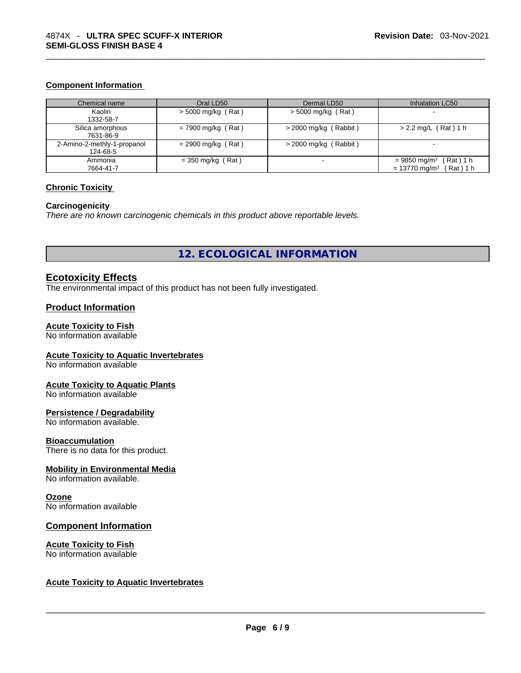#### **Component Information**

| Chemical name                           | Oral LD50            | Dermal LD50             | Inhalation LC50                                                                     |
|-----------------------------------------|----------------------|-------------------------|-------------------------------------------------------------------------------------|
| Kaolin<br>1332-58-7                     | $>$ 5000 mg/kg (Rat) | $>$ 5000 mg/kg (Rat)    | -                                                                                   |
| Silica amorphous<br>7631-86-9           | $= 7900$ mg/kg (Rat) | $>$ 2000 mg/kg (Rabbit) | $> 2.2$ mg/L (Rat) 1 h                                                              |
| 2-Amino-2-methly-1-propanol<br>124-68-5 | $= 2900$ mg/kg (Rat) | $>$ 2000 mg/kg (Rabbit) |                                                                                     |
| Ammonia<br>7664-41-7                    | $=$ 350 mg/kg (Rat)  |                         | (Rat) 1 h<br>$= 9850$ mg/m <sup>3</sup><br>$= 13770$ mg/m <sup>3</sup><br>(Rat) 1 h |

#### **Chronic Toxicity**

#### **Carcinogenicity**

*There are no known carcinogenic chemicals in this product above reportable levels.* 

**12. ECOLOGICAL INFORMATION** 

#### **Ecotoxicity Effects**

The environmental impact of this product has not been fully investigated.

#### **Product Information**

#### **Acute Toxicity to Fish**

No information available

#### **Acute Toxicity to Aquatic Invertebrates**

No information available

### **Acute Toxicity to Aquatic Plants**

No information available

#### **Persistence / Degradability**

No information available.

#### **Bioaccumulation**

There is no data for this product.

#### **Mobility in Environmental Media**

No information available.

#### **Ozone**

No information available

#### **Component Information**

# **Acute Toxicity to Fish**

# No information available \_\_\_\_\_\_\_\_\_\_\_\_\_\_\_\_\_\_\_\_\_\_\_\_\_\_\_\_\_\_\_\_\_\_\_\_\_\_\_\_\_\_\_\_\_\_\_\_\_\_\_\_\_\_\_\_\_\_\_\_\_\_\_\_\_\_\_\_\_\_\_\_\_\_\_\_\_\_\_\_\_\_\_\_\_\_\_\_\_\_\_\_\_ **Acute Toxicity to Aquatic Invertebrates**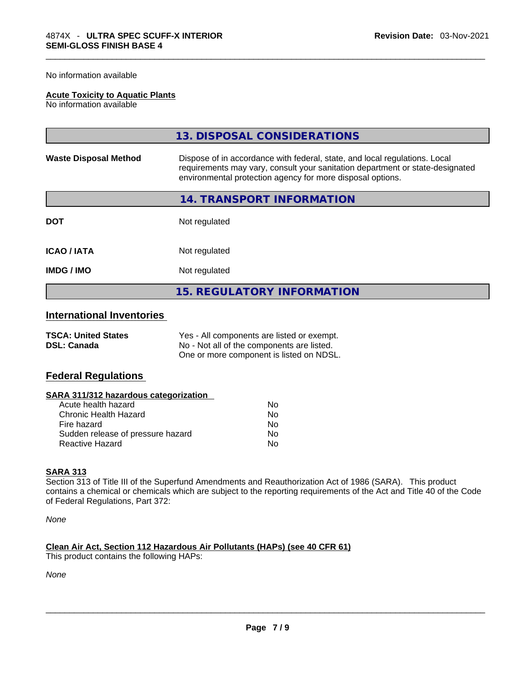No information available

#### **Acute Toxicity to Aquatic Plants**

No information available

|                              | 13. DISPOSAL CONSIDERATIONS                                                                                                                                                                                               |  |
|------------------------------|---------------------------------------------------------------------------------------------------------------------------------------------------------------------------------------------------------------------------|--|
| <b>Waste Disposal Method</b> | Dispose of in accordance with federal, state, and local regulations. Local<br>requirements may vary, consult your sanitation department or state-designated<br>environmental protection agency for more disposal options. |  |
|                              | 14. TRANSPORT INFORMATION                                                                                                                                                                                                 |  |
| <b>DOT</b>                   | Not regulated                                                                                                                                                                                                             |  |
| <b>ICAO/IATA</b>             | Not regulated                                                                                                                                                                                                             |  |
| <b>IMDG/IMO</b>              | Not regulated                                                                                                                                                                                                             |  |
|                              | <b>15. REGULATORY INFORMATION</b>                                                                                                                                                                                         |  |

# **International Inventories**

| <b>TSCA: United States</b> | Yes - All components are listed or exempt. |
|----------------------------|--------------------------------------------|
| <b>DSL: Canada</b>         | No - Not all of the components are listed. |
|                            | One or more component is listed on NDSL.   |

### **Federal Regulations**

#### **SARA 311/312 hazardous categorization**

| Acute health hazard               | No  |
|-----------------------------------|-----|
| Chronic Health Hazard             | Nο  |
| Fire hazard                       | No. |
| Sudden release of pressure hazard | Nο  |
| Reactive Hazard                   | Nο  |

#### **SARA 313**

Section 313 of Title III of the Superfund Amendments and Reauthorization Act of 1986 (SARA). This product contains a chemical or chemicals which are subject to the reporting requirements of the Act and Title 40 of the Code of Federal Regulations, Part 372:

*None*

# **Clean Air Act,Section 112 Hazardous Air Pollutants (HAPs) (see 40 CFR 61)**

This product contains the following HAPs:

*None*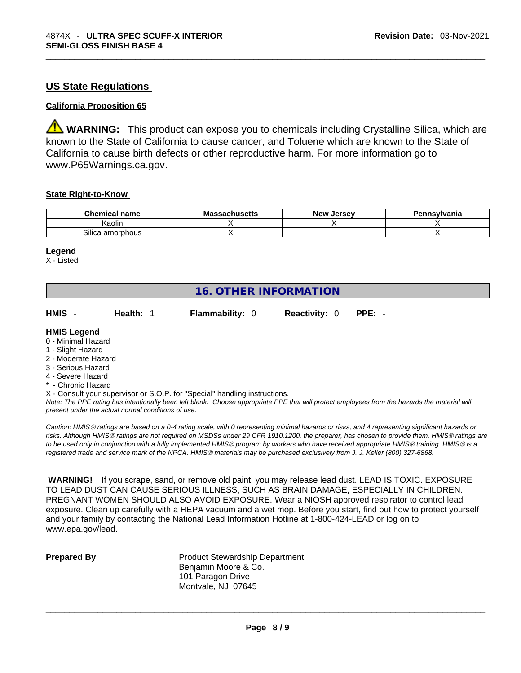# **US State Regulations**

#### **California Proposition 65**

**WARNING:** This product can expose you to chemicals including Crystalline Silica, which are known to the State of California to cause cancer, and Toluene which are known to the State of California to cause birth defects or other reproductive harm. For more information go to www.P65Warnings.ca.gov.

#### **State Right-to-Know**

| <b>Chemical name</b> | <b>Massachusetts</b> | New<br><b>Jersev</b> | Pennsylvania |
|----------------------|----------------------|----------------------|--------------|
| ∖aolin               |                      |                      |              |
| Silica<br>⊧amorphous |                      |                      |              |

#### **Legend**

X - Listed

| <b>16. OTHER INFORMATION</b> |  |
|------------------------------|--|
|------------------------------|--|

| HMIS -<br><b>Flammability: 0</b><br><b>Reactivity: 0 PPE: -</b><br><b>Health: 1</b> |  |
|-------------------------------------------------------------------------------------|--|
|-------------------------------------------------------------------------------------|--|

#### **HMIS Legend**

- 0 Minimal Hazard
- 1 Slight Hazard
- 2 Moderate Hazard
- 3 Serious Hazard
- 4 Severe Hazard
- **Chronic Hazard**
- X Consult your supervisor or S.O.P. for "Special" handling instructions.

Note: The PPE rating has intentionally been left blank. Choose appropriate PPE that will protect employees from the hazards the material will *present under the actual normal conditions of use.* 

*Caution: HMISÒ ratings are based on a 0-4 rating scale, with 0 representing minimal hazards or risks, and 4 representing significant hazards or risks. Although HMISÒ ratings are not required on MSDSs under 29 CFR 1910.1200, the preparer, has chosen to provide them. HMISÒ ratings are to be used only in conjunction with a fully implemented HMISÒ program by workers who have received appropriate HMISÒ training. HMISÒ is a registered trade and service mark of the NPCA. HMISÒ materials may be purchased exclusively from J. J. Keller (800) 327-6868.* 

 **WARNING!** If you scrape, sand, or remove old paint, you may release lead dust. LEAD IS TOXIC. EXPOSURE TO LEAD DUST CAN CAUSE SERIOUS ILLNESS, SUCH AS BRAIN DAMAGE, ESPECIALLY IN CHILDREN. PREGNANT WOMEN SHOULD ALSO AVOID EXPOSURE.Wear a NIOSH approved respirator to control lead exposure. Clean up carefully with a HEPA vacuum and a wet mop. Before you start, find out how to protect yourself and your family by contacting the National Lead Information Hotline at 1-800-424-LEAD or log on to www.epa.gov/lead.

**Prepared By Product Stewardship Department** Benjamin Moore & Co. 101 Paragon Drive Montvale, NJ 07645